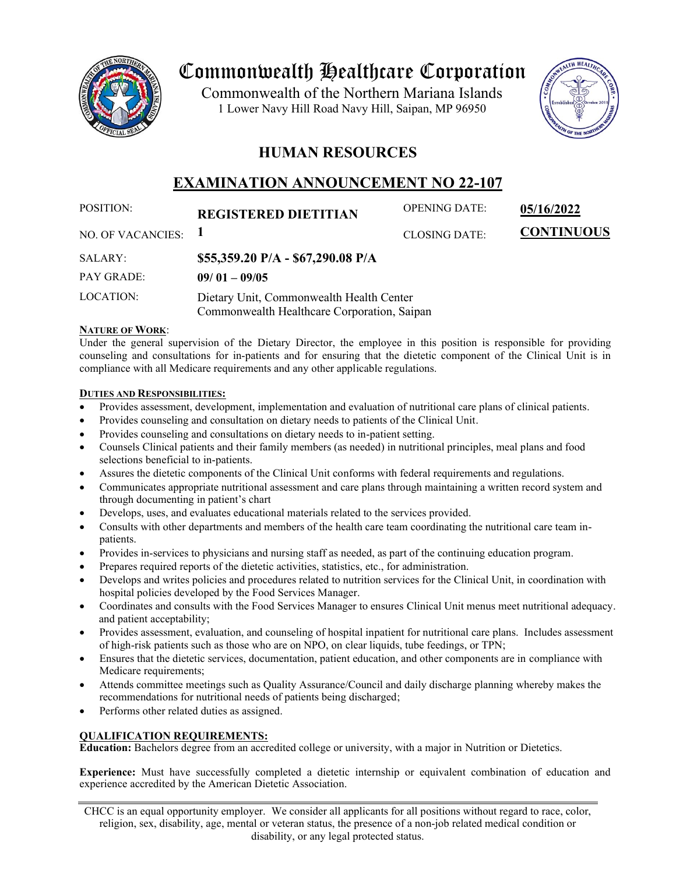

# Commonwealth Healthcare Corporation

 1 Lower Navy Hill Road Navy Hill, Saipan, MP 96950Commonwealth of the Northern Mariana Islands



# **HUMAN RESOURCES**

# **EXAMINATION ANNOUNCEMENT NO 22-107**

| POSITION:              | <b>REGISTERED DIETITIAN</b>                                                             | <b>OPENING DATE:</b> | 05/16/2022        |
|------------------------|-----------------------------------------------------------------------------------------|----------------------|-------------------|
| NO. OF VACANCIES: $1$  |                                                                                         | <b>CLOSING DATE:</b> | <b>CONTINUOUS</b> |
| SALARY:                | \$55,359.20 P/A - \$67,290.08 P/A                                                       |                      |                   |
| <b>PAY GRADE:</b>      | $09/01 - 09/05$                                                                         |                      |                   |
| LOCATION:              | Dietary Unit, Commonwealth Health Center<br>Commonwealth Healthcare Corporation, Saipan |                      |                   |
| <b>NATURE OF WORK:</b> |                                                                                         |                      |                   |

Under the general supervision of the Dietary Director, the employee in this position is responsible for providing counseling and consultations for in-patients and for ensuring that the dietetic component of the Clinical Unit is in compliance with all Medicare requirements and any other applicable regulations.

## **DUTIES AND RESPONSIBILITIES:**

- Provides assessment, development, implementation and evaluation of nutritional care plans of clinical patients.
- Provides counseling and consultation on dietary needs to patients of the Clinical Unit.
- Provides counseling and consultations on dietary needs to in-patient setting.
- Counsels Clinical patients and their family members (as needed) in nutritional principles, meal plans and food selections beneficial to in-patients.
- Assures the dietetic components of the Clinical Unit conforms with federal requirements and regulations.
- Communicates appropriate nutritional assessment and care plans through maintaining a written record system and through documenting in patient's chart
- Develops, uses, and evaluates educational materials related to the services provided.
- Consults with other departments and members of the health care team coordinating the nutritional care team inpatients.
- Provides in-services to physicians and nursing staff as needed, as part of the continuing education program.
- Prepares required reports of the dietetic activities, statistics, etc., for administration.
- Develops and writes policies and procedures related to nutrition services for the Clinical Unit, in coordination with hospital policies developed by the Food Services Manager.
- Coordinates and consults with the Food Services Manager to ensures Clinical Unit menus meet nutritional adequacy. and patient acceptability;
- Provides assessment, evaluation, and counseling of hospital inpatient for nutritional care plans. Includes assessment of high-risk patients such as those who are on NPO, on clear liquids, tube feedings, or TPN;
- Ensures that the dietetic services, documentation, patient education, and other components are in compliance with Medicare requirements:
- Attends committee meetings such as Quality Assurance/Council and daily discharge planning whereby makes the recommendations for nutritional needs of patients being discharged;
- Performs other related duties as assigned.

# **QUALIFICATION REQUIREMENTS:**

**Education:** Bachelors degree from an accredited college or university, with a major in Nutrition or Dietetics.

**Experience:** Must have successfully completed a dietetic internship or equivalent combination of education and experience accredited by the American Dietetic Association.